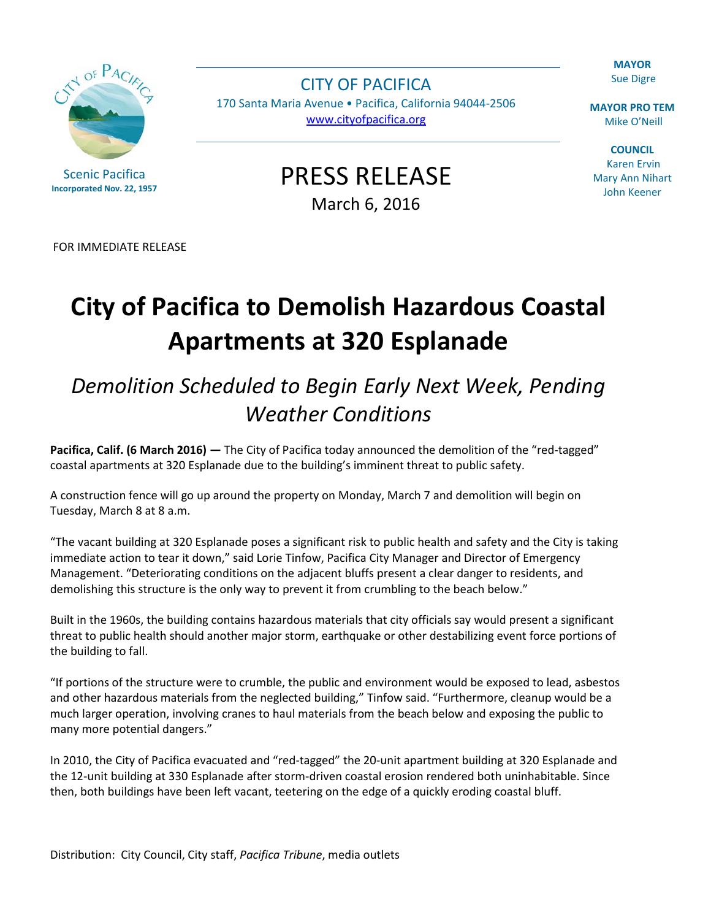**MAYOR** Sue Digre

**MAYOR PRO TEM** Mike O'Neill

**COUNCIL** Karen Ervin Mary Ann Nihart John Keener

CITY OF PACIFICA 170 Santa Maria Avenue • Pacifica, California 94044-2506 [www.cityofpacifica.org](http://www.cityofpacifica.org/)

> PRESS RELEASE March 6, 2016

FOR IMMEDIATE RELEASE

## **City of Pacifica to Demolish Hazardous Coastal Apartments at 320 Esplanade**

## *Demolition Scheduled to Begin Early Next Week, Pending Weather Conditions*

**Pacifica, Calif. (6 March 2016) —** The City of Pacifica today announced the demolition of the "red-tagged" coastal apartments at 320 Esplanade due to the building's imminent threat to public safety.

A construction fence will go up around the property on Monday, March 7 and demolition will begin on Tuesday, March 8 at 8 a.m.

"The vacant building at 320 Esplanade poses a significant risk to public health and safety and the City is taking immediate action to tear it down," said Lorie Tinfow, Pacifica City Manager and Director of Emergency Management. "Deteriorating conditions on the adjacent bluffs present a clear danger to residents, and demolishing this structure is the only way to prevent it from crumbling to the beach below."

Built in the 1960s, the building contains hazardous materials that city officials say would present a significant threat to public health should another major storm, earthquake or other destabilizing event force portions of the building to fall.

"If portions of the structure were to crumble, the public and environment would be exposed to lead, asbestos and other hazardous materials from the neglected building," Tinfow said. "Furthermore, cleanup would be a much larger operation, involving cranes to haul materials from the beach below and exposing the public to many more potential dangers."

In 2010, the City of Pacifica evacuated and "red-tagged" the 20-unit apartment building at 320 Esplanade and the 12-unit building at 330 Esplanade after storm-driven coastal erosion rendered both uninhabitable. Since then, both buildings have been left vacant, teetering on the edge of a quickly eroding coastal bluff.

Distribution: City Council, City staff, *Pacifica Tribune*, media outlets



Scenic Pacifica **Incorporated Nov. 22, 1957**